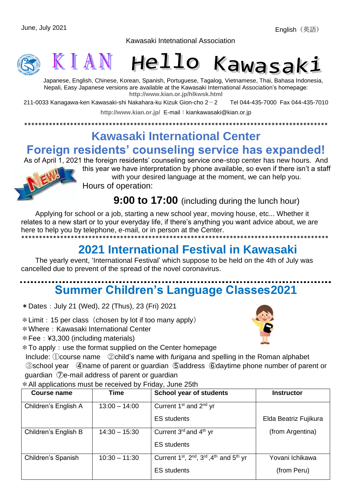Kawasaki Intetnational Association





Japanese, English, Chinese, Korean, Spanish, Portuguese, Tagalog, Vietnamese, Thai, Bahasa Indonesia, Nepali, Easy Japanese versions are available at the Kawasaki International Association's homepage: **<http://www.kian.or.jp/hlkwsk.html>**

211-0033 Kanagawa-ken Kawasaki-shi Nakahara-ku Kizuk Gion-cho 2-2 Tel 044-435-7000 Fax 044-435-7010

<http://www.kian.or.jp/> E-mail: kiankawasaki@kian.or.jp

\*\*\*\*\*\*\*\*\*\*\*\*\*\*\*\*\*\*\*\*\*\*\*\*\*\*\*\*\*\*\*\*\*\*\*\*\*\*\*\*\*\*\*\*\*\*\*\*\*\*\*\*\*\*\*\*\*\*\*\*\*\*\*\*\*\*\*\*\*\*\*\*\*\*\*\*\*\*\*\*\*\*\*\*\*\*

## **Kawasaki International Center**

### **Foreign residents' counseling service has expanded!**

As of April 1, 2021 the foreign residents' counseling service one-stop center has new hours. And



this year we have interpretation by phone available, so even if there isn't a staff with your desired language at the moment, we can help you. Hours of operation:

**9:00 to 17:00** (including during the lunch hour)

Applying for school or a job, starting a new school year, moving house, etc... Whether it relates to a new start or to your everyday life, if there's anything you want advice about, we are here to help you by telephone, e-mail, or in person at the Center. \*\*\*\*\*\*\*\*\*\*\*\*\*\*\*\*\*\*\*\*\*\*\*\*\*\*\*\*\*\*\*\*\*\*\*\*\*\*\*\*\*\*\*\*\*\*\*\*\*\*\*\*\*\*\*\*\*\*\*\*\*\*\*\*\*\*\*\*\*\*\*\*\*\*\*\*\*\*\*\*\*\*\*\*\*\*\*

### **2021 International Festival in Kawasaki**

The yearly event, 'International Festival' which suppose to be held on the 4th of July was cancelled due to prevent of the spread of the novel coronavirus.

# **Summer Children's Language Classes2021**

\*Dates:July 21 (Wed), 22 (Thus), 23 (Fri) 2021

 $*$  Limit: 15 per class (chosen by lot if too many apply)

\*Where:Kawasaki International Center

\*Fee:¥3,300 (including materials)



 $*$  To apply: use the format supplied on the Center homepage

Include: ①course name ②child's name with *furigana* and spelling in the Roman alphabet ③school year ④name of parent or guardian ⑤address ⑥daytime phone number of parent or guardian ⑦e-mail address of parent or guardian

\*All applications must be received by Friday, June 25th

| Course name          | <b>Time</b>     | <b>School year of students</b>                                                                       | <b>Instructor</b>     |
|----------------------|-----------------|------------------------------------------------------------------------------------------------------|-----------------------|
| Children's English A | $13:00 - 14:00$ | Current 1 <sup>st</sup> and 2 <sup>nd</sup> yr                                                       |                       |
|                      |                 | <b>ES</b> students                                                                                   | Elda Beatriz Fujikura |
| Children's English B | $14:30 - 15:30$ | Current $3^{rd}$ and $4^{th}$ yr                                                                     | (from Argentina)      |
|                      |                 | <b>ES</b> students                                                                                   |                       |
| Children's Spanish   | $10:30 - 11:30$ | Current 1 <sup>st</sup> , 2 <sup>nd</sup> , 3 <sup>rd</sup> , 4 <sup>th</sup> and 5 <sup>th</sup> yr | Yovani Ichikawa       |
|                      |                 | <b>ES</b> students                                                                                   | (from Peru)           |